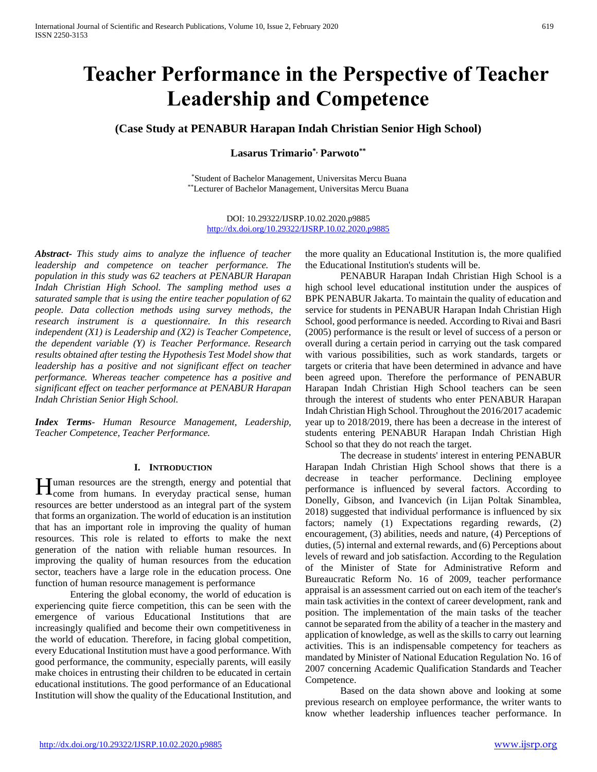# **Teacher Performance in the Perspective of Teacher Leadership and Competence**

# **(Case Study at PENABUR Harapan Indah Christian Senior High School)**

# **Lasarus Trimario\*, Parwoto\*\***

\*Student of Bachelor Management, Universitas Mercu Buana \*\*Lecturer of Bachelor Management, Universitas Mercu Buana

DOI: 10.29322/IJSRP.10.02.2020.p9885 <http://dx.doi.org/10.29322/IJSRP.10.02.2020.p9885>

*Abstract***-** *This study aims to analyze the influence of teacher leadership and competence on teacher performance. The population in this study was 62 teachers at PENABUR Harapan Indah Christian High School. The sampling method uses a saturated sample that is using the entire teacher population of 62 people. Data collection methods using survey methods, the research instrument is a questionnaire. In this research independent (X1) is Leadership and (X2) is Teacher Competence, the dependent variable (Y) is Teacher Performance. Research results obtained after testing the Hypothesis Test Model show that leadership has a positive and not significant effect on teacher performance. Whereas teacher competence has a positive and significant effect on teacher performance at PENABUR Harapan Indah Christian Senior High School.*

*Index Terms*- *Human Resource Management, Leadership, Teacher Competence, Teacher Performance.*

#### **I. INTRODUCTION**

uman resources are the strength, energy and potential that Human resources are the strength, energy and potential that<br>come from humans. In everyday practical sense, human resources are better understood as an integral part of the system that forms an organization. The world of education is an institution that has an important role in improving the quality of human resources. This role is related to efforts to make the next generation of the nation with reliable human resources. In improving the quality of human resources from the education sector, teachers have a large role in the education process. One function of human resource management is performance

Entering the global economy, the world of education is experiencing quite fierce competition, this can be seen with the emergence of various Educational Institutions that are increasingly qualified and become their own competitiveness in the world of education. Therefore, in facing global competition, every Educational Institution must have a good performance. With good performance, the community, especially parents, will easily make choices in entrusting their children to be educated in certain educational institutions. The good performance of an Educational Institution will show the quality of the Educational Institution, and

the more quality an Educational Institution is, the more qualified the Educational Institution's students will be.

PENABUR Harapan Indah Christian High School is a high school level educational institution under the auspices of BPK PENABUR Jakarta. To maintain the quality of education and service for students in PENABUR Harapan Indah Christian High School, good performance is needed. According to Rivai and Basri (2005) performance is the result or level of success of a person or overall during a certain period in carrying out the task compared with various possibilities, such as work standards, targets or targets or criteria that have been determined in advance and have been agreed upon. Therefore the performance of PENABUR Harapan Indah Christian High School teachers can be seen through the interest of students who enter PENABUR Harapan Indah Christian High School. Throughout the 2016/2017 academic year up to 2018/2019, there has been a decrease in the interest of students entering PENABUR Harapan Indah Christian High School so that they do not reach the target.

The decrease in students' interest in entering PENABUR Harapan Indah Christian High School shows that there is a decrease in teacher performance. Declining employee performance is influenced by several factors. According to Donelly, Gibson, and Ivancevich (in Lijan Poltak Sinamblea, 2018) suggested that individual performance is influenced by six factors; namely (1) Expectations regarding rewards, (2) encouragement, (3) abilities, needs and nature, (4) Perceptions of duties, (5) internal and external rewards, and (6) Perceptions about levels of reward and job satisfaction. According to the Regulation of the Minister of State for Administrative Reform and Bureaucratic Reform No. 16 of 2009, teacher performance appraisal is an assessment carried out on each item of the teacher's main task activities in the context of career development, rank and position. The implementation of the main tasks of the teacher cannot be separated from the ability of a teacher in the mastery and application of knowledge, as well as the skills to carry out learning activities. This is an indispensable competency for teachers as mandated by Minister of National Education Regulation No. 16 of 2007 concerning Academic Qualification Standards and Teacher Competence.

Based on the data shown above and looking at some previous research on employee performance, the writer wants to know whether leadership influences teacher performance. In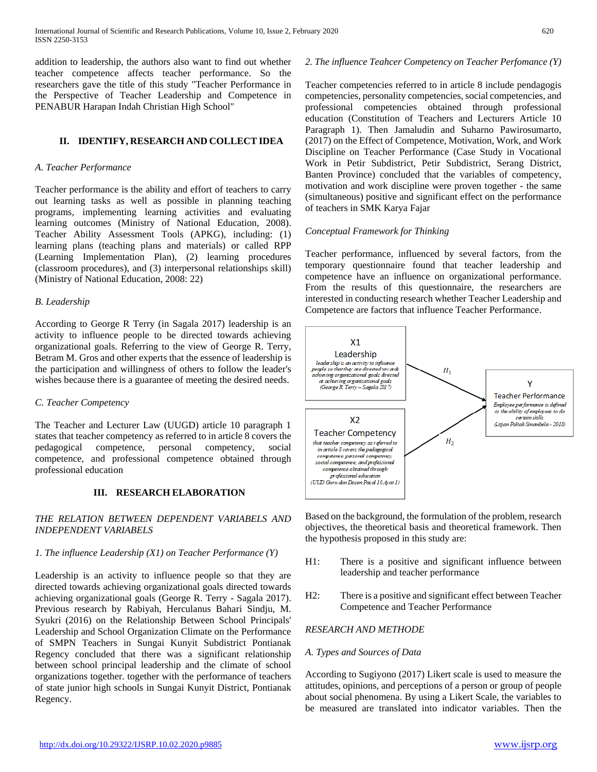addition to leadership, the authors also want to find out whether teacher competence affects teacher performance. So the researchers gave the title of this study "Teacher Performance in the Perspective of Teacher Leadership and Competence in PENABUR Harapan Indah Christian High School"

#### **II. IDENTIFY, RESEARCH AND COLLECT IDEA**

#### *A. Teacher Performance*

Teacher performance is the ability and effort of teachers to carry out learning tasks as well as possible in planning teaching programs, implementing learning activities and evaluating learning outcomes (Ministry of National Education, 2008). Teacher Ability Assessment Tools (APKG), including: (1) learning plans (teaching plans and materials) or called RPP (Learning Implementation Plan), (2) learning procedures (classroom procedures), and (3) interpersonal relationships skill) (Ministry of National Education, 2008: 22)

## *B. Leadership*

According to George R Terry (in Sagala 2017) leadership is an activity to influence people to be directed towards achieving organizational goals. Referring to the view of George R. Terry, Betram M. Gros and other experts that the essence of leadership is the participation and willingness of others to follow the leader's wishes because there is a guarantee of meeting the desired needs.

# *C. Teacher Competency*

The Teacher and Lecturer Law (UUGD) article 10 paragraph 1 states that teacher competency as referred to in article 8 covers the pedagogical competence, personal competency, social competence, and professional competence obtained through professional education

# **III. RESEARCH ELABORATION**

# *THE RELATION BETWEEN DEPENDENT VARIABELS AND INDEPENDENT VARIABELS*

# *1. The influence Leadership (X1) on Teacher Performance (Y)*

Leadership is an activity to influence people so that they are directed towards achieving organizational goals directed towards achieving organizational goals (George R. Terry - Sagala 2017). Previous research by Rabiyah, Herculanus Bahari Sindju, M. Syukri (2016) on the Relationship Between School Principals' Leadership and School Organization Climate on the Performance of SMPN Teachers in Sungai Kunyit Subdistrict Pontianak Regency concluded that there was a significant relationship between school principal leadership and the climate of school organizations together. together with the performance of teachers of state junior high schools in Sungai Kunyit District, Pontianak Regency.

## *2. The influence Teahcer Competency on Teacher Perfomance (Y)*

Teacher competencies referred to in article 8 include pendagogis competencies, personality competencies, social competencies, and professional competencies obtained through professional education (Constitution of Teachers and Lecturers Article 10 Paragraph 1). Then Jamaludin and Suharno Pawirosumarto, (2017) on the Effect of Competence, Motivation, Work, and Work Discipline on Teacher Performance (Case Study in Vocational Work in Petir Subdistrict, Petir Subdistrict, Serang District, Banten Province) concluded that the variables of competency, motivation and work discipline were proven together - the same (simultaneous) positive and significant effect on the performance of teachers in SMK Karya Fajar

#### *Conceptual Framework for Thinking*

Teacher performance, influenced by several factors, from the temporary questionnaire found that teacher leadership and competence have an influence on organizational performance. From the results of this questionnaire, the researchers are interested in conducting research whether Teacher Leadership and Competence are factors that influence Teacher Performance.



Based on the background, the formulation of the problem, research objectives, the theoretical basis and theoretical framework. Then the hypothesis proposed in this study are:

- H1: There is a positive and significant influence between leadership and teacher performance
- H2: There is a positive and significant effect between Teacher Competence and Teacher Performance

# *RESEARCH AND METHODE*

#### *A. Types and Sources of Data*

According to Sugiyono (2017) Likert scale is used to measure the attitudes, opinions, and perceptions of a person or group of people about social phenomena. By using a Likert Scale, the variables to be measured are translated into indicator variables. Then the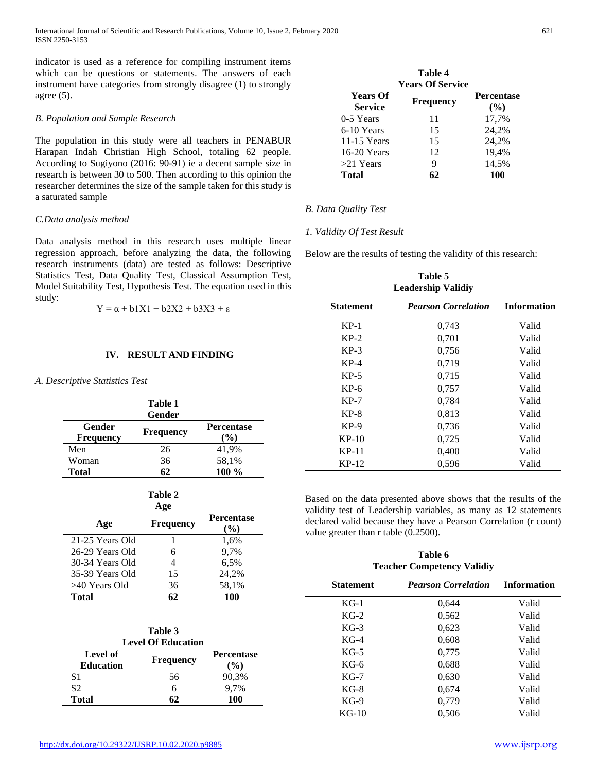International Journal of Scientific and Research Publications, Volume 10, Issue 2, February 2020 621 ISSN 2250-3153

indicator is used as a reference for compiling instrument items which can be questions or statements. The answers of each instrument have categories from strongly disagree (1) to strongly agree (5).

#### *B. Population and Sample Research*

The population in this study were all teachers in PENABUR Harapan Indah Christian High School, totaling 62 people. According to Sugiyono (2016: 90-91) ie a decent sample size in research is between 30 to 500. Then according to this opinion the researcher determines the size of the sample taken for this study is a saturated sample

#### *C.Data analysis method*

Data analysis method in this research uses multiple linear regression approach, before analyzing the data, the following research instruments (data) are tested as follows: Descriptive Statistics Test, Data Quality Test, Classical Assumption Test, Model Suitability Test, Hypothesis Test. The equation used in this study:

$$
Y = \alpha + b1X1 + b2X2 + b3X3 + \epsilon
$$

#### **IV. RESULT AND FINDING**

#### *A. Descriptive Statistics Test*

|                            | Table 1<br>Gender |                             |
|----------------------------|-------------------|-----------------------------|
| Gender<br><b>Frequency</b> | <b>Frequency</b>  | <b>Percentase</b><br>$(\%)$ |
| Men                        | 26                | 41,9%                       |
| Woman                      | 36                | 58,1%                       |
| <b>Total</b>               | 62                | 100 %                       |

#### **Table 2**

|                 | vee              |                             |
|-----------------|------------------|-----------------------------|
| Age             | <b>Frequency</b> | <b>Percentase</b><br>$(\%)$ |
| 21-25 Years Old |                  | 1,6%                        |
| 26-29 Years Old | 6                | 9.7%                        |
| 30-34 Years Old | 4                | 6,5%                        |
| 35-39 Years Old | 15               | 24.2%                       |
| >40 Years Old   | 36               | 58,1%                       |
| <b>Total</b>    | 62               | 100                         |

| Table 3<br><b>Level Of Education</b> |                  |                             |
|--------------------------------------|------------------|-----------------------------|
| Level of<br><b>Education</b>         | <b>Frequency</b> | <b>Percentase</b><br>$($ %) |
| S1                                   | 56               | 90,3%                       |
| S <sub>2</sub>                       | 6                | 9.7%                        |
| Total                                |                  | 100                         |

|                                   | Table 4                                     |                             |
|-----------------------------------|---------------------------------------------|-----------------------------|
| <b>Years Of</b><br><b>Service</b> | <b>Years Of Service</b><br><b>Frequency</b> | <b>Percentase</b><br>$($ %) |
| 0-5 Years                         | 11                                          | 17,7%                       |
| 6-10 Years                        | 15                                          | 24,2%                       |
| 11-15 Years                       | 15                                          | 24,2%                       |
| 16-20 Years                       | 12                                          | 19,4%                       |
| $>21$ Years                       | 9                                           | 14,5%                       |
| Total                             | 62                                          | 100                         |

## *B. Data Quality Test*

#### *1. Validity Of Test Result*

Below are the results of testing the validity of this research:

| Table 5<br><b>Leadership Validiy</b> |                            |                    |  |
|--------------------------------------|----------------------------|--------------------|--|
| <b>Statement</b>                     | <b>Pearson Correlation</b> | <b>Information</b> |  |
| $KP-1$                               | 0,743                      | Valid              |  |
| $KP-2$                               | 0,701                      | Valid              |  |
| $KP-3$                               | 0,756                      | Valid              |  |
| $KP-4$                               | 0,719                      | Valid              |  |
| $KP-5$                               | 0,715                      | Valid              |  |
| $KP-6$                               | 0,757                      | Valid              |  |
| $KP-7$                               | 0,784                      | Valid              |  |
| $KP-8$                               | 0,813                      | Valid              |  |
| $KP-9$                               | 0,736                      | Valid              |  |
| $KP-10$                              | 0,725                      | Valid              |  |
| KP-11                                | 0,400                      | Valid              |  |
| $KP-12$                              | 0,596                      | Valid              |  |

Based on the data presented above shows that the results of the validity test of Leadership variables, as many as 12 statements declared valid because they have a Pearson Correlation (r count) value greater than r table (0.2500).

| Table 6<br><b>Teacher Competency Validiy</b>                         |       |       |  |
|----------------------------------------------------------------------|-------|-------|--|
| <b>Information</b><br><b>Statement</b><br><b>Pearson Correlation</b> |       |       |  |
| $KG-1$                                                               | 0,644 | Valid |  |
| $KG-2$                                                               | 0,562 | Valid |  |
| $KG-3$                                                               | 0,623 | Valid |  |
| $KG-4$                                                               | 0,608 | Valid |  |
| $KG-5$                                                               | 0,775 | Valid |  |
| $KG-6$                                                               | 0,688 | Valid |  |
| $KG-7$                                                               | 0,630 | Valid |  |
| $KG-8$                                                               | 0,674 | Valid |  |
| $KG-9$                                                               | 0,779 | Valid |  |
| $KG-10$                                                              | 0.506 | Valid |  |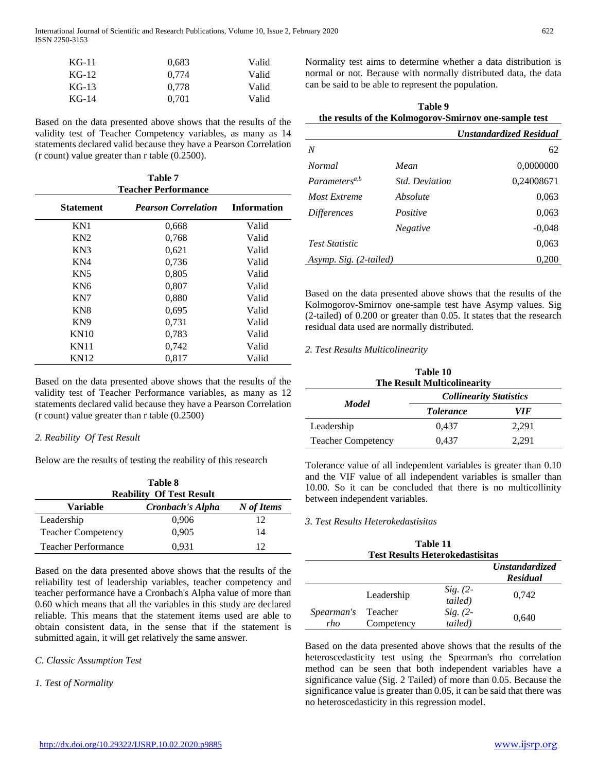International Journal of Scientific and Research Publications, Volume 10, Issue 2, February 2020 622 ISSN 2250-3153

| $KG-11$ | 0.683 | Valid |
|---------|-------|-------|
| $KG-12$ | 0.774 | Valid |
| $KG-13$ | 0.778 | Valid |
| $KG-14$ | 0.701 | Valid |

Based on the data presented above shows that the results of the validity test of Teacher Competency variables, as many as 14 statements declared valid because they have a Pearson Correlation (r count) value greater than r table (0.2500).

| Table 7<br><b>Teacher Performance</b> |                            |                    |  |
|---------------------------------------|----------------------------|--------------------|--|
| <b>Statement</b>                      | <b>Pearson Correlation</b> | <b>Information</b> |  |
| KN1                                   | 0,668                      | Valid              |  |
| KN2                                   | 0,768                      | Valid              |  |
| KN3                                   | 0,621                      | Valid              |  |
| KN4                                   | 0,736                      | Valid              |  |
| KN <sub>5</sub>                       | 0,805                      | Valid              |  |
| KN <sub>6</sub>                       | 0,807                      | Valid              |  |
| KN7                                   | 0,880                      | Valid              |  |
| KN <sub>8</sub>                       | 0.695                      | Valid              |  |
| KN <sub>9</sub>                       | 0,731                      | Valid              |  |
| <b>KN10</b>                           | 0,783                      | Valid              |  |
| <b>KN11</b>                           | 0,742                      | Valid              |  |
| <b>KN12</b>                           | 0,817                      | Valid              |  |

Based on the data presented above shows that the results of the validity test of Teacher Performance variables, as many as 12 statements declared valid because they have a Pearson Correlation (r count) value greater than r table (0.2500)

#### *2. Reability Of Test Result*

Below are the results of testing the reability of this research

| Table 8<br><b>Reability Of Test Result</b> |       |    |  |  |
|--------------------------------------------|-------|----|--|--|
| Cronbach's Alpha<br>Variable<br>N of Items |       |    |  |  |
| Leadership                                 | 0,906 | 12 |  |  |
| <b>Teacher Competency</b>                  | 0.905 | 14 |  |  |
| <b>Teacher Performance</b><br>0,931<br>12  |       |    |  |  |

Based on the data presented above shows that the results of the reliability test of leadership variables, teacher competency and teacher performance have a Cronbach's Alpha value of more than 0.60 which means that all the variables in this study are declared reliable. This means that the statement items used are able to obtain consistent data, in the sense that if the statement is submitted again, it will get relatively the same answer.

#### *C. Classic Assumption Test*

*1. Test of Normality*

Normality test aims to determine whether a data distribution is normal or not. Because with normally distributed data, the data can be said to be able to represent the population.

**Table 9**

| ravit s<br>the results of the Kolmogorov-Smirnov one-sample test |                       |                                |
|------------------------------------------------------------------|-----------------------|--------------------------------|
|                                                                  |                       | <b>Unstandardized Residual</b> |
| N                                                                |                       | 62                             |
| <i>Normal</i>                                                    | Mean                  | 0,0000000                      |
| Parameters <sup>a,b</sup>                                        | <i>Std. Deviation</i> | 0,24008671                     |
| Most Extreme                                                     | Absolute              | 0,063                          |
| <i>Differences</i>                                               | Positive              | 0,063                          |
|                                                                  | Negative              | $-0.048$                       |
| <b>Test Statistic</b>                                            |                       | 0,063                          |
| Asymp. Sig. (2-tailed)                                           |                       | 0,200                          |

Based on the data presented above shows that the results of the Kolmogorov-Smirnov one-sample test have Asymp values. Sig (2-tailed) of 0.200 or greater than 0.05. It states that the research residual data used are normally distributed.

#### *2. Test Results Multicolinearity*

| Table 10                           |
|------------------------------------|
| <b>The Result Multicolinearity</b> |

| <b>Model</b>              | <b>Collinearity Statistics</b> |       |  |  |
|---------------------------|--------------------------------|-------|--|--|
|                           | <i>Tolerance</i>               | VIF   |  |  |
| Leadership                | 0.437                          | 2,291 |  |  |
| <b>Teacher Competency</b> | 0.437                          | 2.291 |  |  |

Tolerance value of all independent variables is greater than 0.10 and the VIF value of all independent variables is smaller than 10.00. So it can be concluded that there is no multicollinity between independent variables.

#### *3. Test Results Heterokedastisitas*

J.

| Table 11<br><b>Test Results Heterokedastisitas</b> |                       |                       |       |  |  |
|----------------------------------------------------|-----------------------|-----------------------|-------|--|--|
| <b>Unstandardized</b><br><b>Residual</b>           |                       |                       |       |  |  |
|                                                    | Leadership            | $Sig. (2-$<br>tailed) | 0,742 |  |  |
| Spearman's<br>rho                                  | Teacher<br>Competency | $Sig. (2-$<br>tailed) | 0,640 |  |  |

Based on the data presented above shows that the results of the heteroscedasticity test using the Spearman's rho correlation method can be seen that both independent variables have a significance value (Sig. 2 Tailed) of more than 0.05. Because the significance value is greater than 0.05, it can be said that there was no heteroscedasticity in this regression model.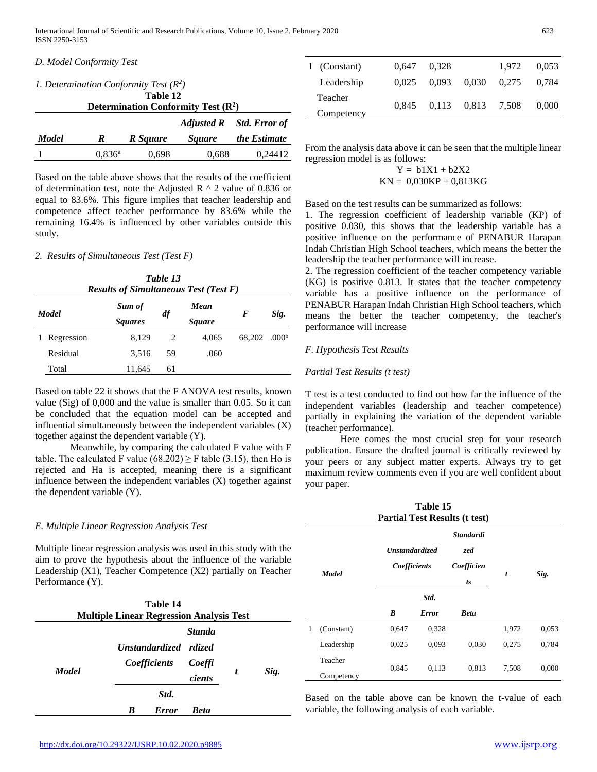## *D. Model Conformity Test*

| 1. Determination Conformity Test $(R^2)$         |                 |          |               |                          |  |  |  |
|--------------------------------------------------|-----------------|----------|---------------|--------------------------|--|--|--|
| Table 12<br>Determination Conformity Test $(R2)$ |                 |          |               |                          |  |  |  |
|                                                  |                 |          |               | Adjusted R Std. Error of |  |  |  |
| <b>Model</b>                                     | ĸ               | R Square | <i>Square</i> | the Estimate             |  |  |  |
|                                                  | $0.836^{\rm a}$ | 0,698    | 0.688         | 0.24412                  |  |  |  |

Based on the table above shows that the results of the coefficient of determination test, note the Adjusted R  $\land$  2 value of 0.836 or equal to 83.6%. This figure implies that teacher leadership and competence affect teacher performance by 83.6% while the remaining 16.4% is influenced by other variables outside this study.

#### *2. Results of Simultaneous Test (Test F)*

|              | Table 13<br><b>Results of Simultaneous Test (Test F)</b> |                          |                             |       |        |                   |  |  |
|--------------|----------------------------------------------------------|--------------------------|-----------------------------|-------|--------|-------------------|--|--|
| <b>Model</b> |                                                          | Sum of<br><b>Squares</b> | Mean<br>df<br><i>Square</i> |       | F      | Sig.              |  |  |
|              | Regression                                               | 8,129                    | 2                           | 4.065 | 68,202 | .000 <sup>b</sup> |  |  |
|              | Residual                                                 | 3.516                    | 59                          | .060  |        |                   |  |  |
|              | Total                                                    | 11,645                   | 61                          |       |        |                   |  |  |

Based on table 22 it shows that the F ANOVA test results, known value (Sig) of 0,000 and the value is smaller than 0.05. So it can be concluded that the equation model can be accepted and influential simultaneously between the independent variables (X) together against the dependent variable (Y).

Meanwhile, by comparing the calculated F value with F table. The calculated F value (68.202)  $\geq$  F table (3.15), then Ho is rejected and Ha is accepted, meaning there is a significant influence between the independent variables (X) together against the dependent variable (Y).

#### *E. Multiple Linear Regression Analysis Test*

Multiple linear regression analysis was used in this study with the aim to prove the hypothesis about the influence of the variable Leadership (X1), Teacher Competence (X2) partially on Teacher Performance (Y).

|              | <b>Multiple Linear Regression Analysis Test</b> | Table 14     |                                   |   |      |
|--------------|-------------------------------------------------|--------------|-----------------------------------|---|------|
| <b>Model</b> | Unstandardized rdized<br><i>Coefficients</i>    |              | <b>Standa</b><br>Coeffi<br>cients | t | Sig. |
|              |                                                 | Std.         |                                   |   |      |
|              | B                                               | <b>Error</b> | <b>Beta</b>                       |   |      |

| 1 (Constant) | 0.647 | 0.328 |                   | 1.972 | 0.053 |
|--------------|-------|-------|-------------------|-------|-------|
| Leadership   | 0.025 | 0.093 | 0,030             | 0.275 | 0.784 |
| Teacher      | 0.845 |       | 0.113 0.813 7.508 |       | 0.000 |
| Competency   |       |       |                   |       |       |
|              |       |       |                   |       |       |

From the analysis data above it can be seen that the multiple linear regression model is as follows:

$$
Y = b1X1 + b2X2
$$

$$
KN = 0,030KP + 0,813KG
$$

Based on the test results can be summarized as follows:

1. The regression coefficient of leadership variable (KP) of positive 0.030, this shows that the leadership variable has a positive influence on the performance of PENABUR Harapan Indah Christian High School teachers, which means the better the leadership the teacher performance will increase.

2. The regression coefficient of the teacher competency variable (KG) is positive 0.813. It states that the teacher competency variable has a positive influence on the performance of PENABUR Harapan Indah Christian High School teachers, which means the better the teacher competency, the teacher's performance will increase

#### *F. Hypothesis Test Results*

#### *Partial Test Results (t test)*

T test is a test conducted to find out how far the influence of the independent variables (leadership and teacher competence) partially in explaining the variation of the dependent variable (teacher performance).

Here comes the most crucial step for your research publication. Ensure the drafted journal is critically reviewed by your peers or any subject matter experts. Always try to get maximum review comments even if you are well confident about your paper.

| Table 15<br><b>Partial Test Results (t test)</b> |                       |                                       |              |                                             |       |       |  |
|--------------------------------------------------|-----------------------|---------------------------------------|--------------|---------------------------------------------|-------|-------|--|
| <b>Model</b>                                     |                       | <b>Unstandardized</b><br>Coefficients |              | <b>Standardi</b><br>zed<br>Coefficien<br>ts | t     | Sig.  |  |
|                                                  |                       | Std.                                  |              |                                             |       |       |  |
|                                                  |                       | B                                     | <b>Error</b> | <b>Beta</b>                                 |       |       |  |
| 1                                                | (Constant)            | 0,647                                 | 0,328        |                                             | 1,972 | 0,053 |  |
|                                                  | Leadership            | 0,025                                 | 0,093        | 0,030                                       | 0,275 | 0,784 |  |
|                                                  | Teacher<br>Competency | 0,845                                 | 0,113        | 0,813                                       | 7,508 | 0,000 |  |

Based on the table above can be known the t-value of each variable, the following analysis of each variable.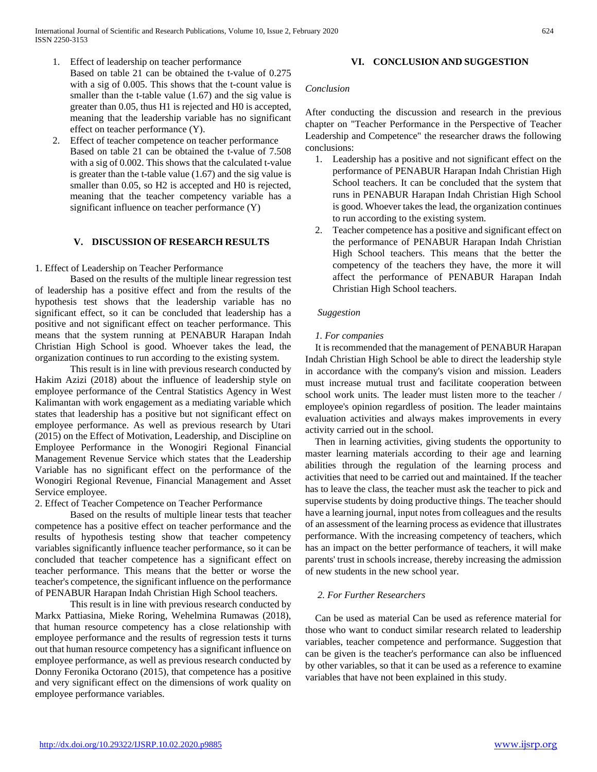- 1. Effect of leadership on teacher performance
- Based on table 21 can be obtained the t-value of 0.275 with a sig of 0.005. This shows that the t-count value is smaller than the t-table value  $(1.67)$  and the sig value is greater than 0.05, thus H1 is rejected and H0 is accepted, meaning that the leadership variable has no significant effect on teacher performance (Y).
- 2. Effect of teacher competence on teacher performance Based on table 21 can be obtained the t-value of 7.508 with a sig of 0.002. This shows that the calculated t-value is greater than the t-table value (1.67) and the sig value is smaller than 0.05, so H2 is accepted and H0 is rejected, meaning that the teacher competency variable has a significant influence on teacher performance (Y)

## **V. DISCUSSION OF RESEARCH RESULTS**

## 1. Effect of Leadership on Teacher Performance

Based on the results of the multiple linear regression test of leadership has a positive effect and from the results of the hypothesis test shows that the leadership variable has no significant effect, so it can be concluded that leadership has a positive and not significant effect on teacher performance. This means that the system running at PENABUR Harapan Indah Christian High School is good. Whoever takes the lead, the organization continues to run according to the existing system.

This result is in line with previous research conducted by Hakim Azizi (2018) about the influence of leadership style on employee performance of the Central Statistics Agency in West Kalimantan with work engagement as a mediating variable which states that leadership has a positive but not significant effect on employee performance. As well as previous research by Utari (2015) on the Effect of Motivation, Leadership, and Discipline on Employee Performance in the Wonogiri Regional Financial Management Revenue Service which states that the Leadership Variable has no significant effect on the performance of the Wonogiri Regional Revenue, Financial Management and Asset Service employee.

## 2. Effect of Teacher Competence on Teacher Performance

Based on the results of multiple linear tests that teacher competence has a positive effect on teacher performance and the results of hypothesis testing show that teacher competency variables significantly influence teacher performance, so it can be concluded that teacher competence has a significant effect on teacher performance. This means that the better or worse the teacher's competence, the significant influence on the performance of PENABUR Harapan Indah Christian High School teachers.

This result is in line with previous research conducted by Markx Pattiasina, Mieke Roring, Wehelmina Rumawas (2018), that human resource competency has a close relationship with employee performance and the results of regression tests it turns out that human resource competency has a significant influence on employee performance, as well as previous research conducted by Donny Feronika Octorano (2015), that competence has a positive and very significant effect on the dimensions of work quality on employee performance variables.

#### **VI. CONCLUSION AND SUGGESTION**

#### *Conclusion*

After conducting the discussion and research in the previous chapter on "Teacher Performance in the Perspective of Teacher Leadership and Competence" the researcher draws the following conclusions:

- 1. Leadership has a positive and not significant effect on the performance of PENABUR Harapan Indah Christian High School teachers. It can be concluded that the system that runs in PENABUR Harapan Indah Christian High School is good. Whoever takes the lead, the organization continues to run according to the existing system.
- 2. Teacher competence has a positive and significant effect on the performance of PENABUR Harapan Indah Christian High School teachers. This means that the better the competency of the teachers they have, the more it will affect the performance of PENABUR Harapan Indah Christian High School teachers.

## *Suggestion*

## *1. For companies*

It is recommended that the management of PENABUR Harapan Indah Christian High School be able to direct the leadership style in accordance with the company's vision and mission. Leaders must increase mutual trust and facilitate cooperation between school work units. The leader must listen more to the teacher / employee's opinion regardless of position. The leader maintains evaluation activities and always makes improvements in every activity carried out in the school.

Then in learning activities, giving students the opportunity to master learning materials according to their age and learning abilities through the regulation of the learning process and activities that need to be carried out and maintained. If the teacher has to leave the class, the teacher must ask the teacher to pick and supervise students by doing productive things. The teacher should have a learning journal, input notes from colleagues and the results of an assessment of the learning process as evidence that illustrates performance. With the increasing competency of teachers, which has an impact on the better performance of teachers, it will make parents' trust in schools increase, thereby increasing the admission of new students in the new school year.

# *2. For Further Researchers*

Can be used as material Can be used as reference material for those who want to conduct similar research related to leadership variables, teacher competence and performance. Suggestion that can be given is the teacher's performance can also be influenced by other variables, so that it can be used as a reference to examine variables that have not been explained in this study.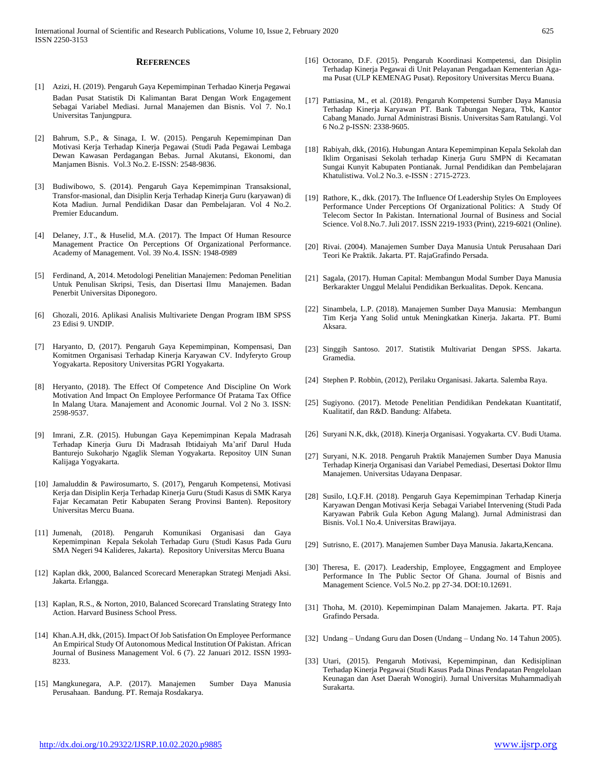#### **REFERENCES**

- [1] Azizi, H. (2019). Pengaruh Gaya Kepemimpinan Terhadao Kinerja Pegawai Badan Pusat Statistik Di Kalimantan Barat Dengan Work Engagement Sebagai Variabel Mediasi. Jurnal Manajemen dan Bisnis. Vol 7. No.1 Universitas Tanjungpura.
- [2] Bahrum, S.P., & Sinaga, I. W. (2015). Pengaruh Kepemimpinan Dan Motivasi Kerja Terhadap Kinerja Pegawai (Studi Pada Pegawai Lembaga Dewan Kawasan Perdagangan Bebas. Jurnal Akutansi, Ekonomi, dan Manjamen Bisnis. Vol.3 No.2. E-ISSN: 2548-9836.
- [3] Budiwibowo, S. (2014). Pengaruh Gaya Kepemimpinan Transaksional, Transfor-masional, dan Disiplin Kerja Terhadap Kinerja Guru (karyawan) di Kota Madiun. Jurnal Pendidikan Dasar dan Pembelajaran. Vol 4 No.2. Premier Educandum.
- [4] Delaney, J.T., & Huselid, M.A. (2017). The Impact Of Human Resource Management Practice On Perceptions Of Organizational Performance. Academy of Management. Vol. 39 No.4. ISSN: 1948-0989
- [5] Ferdinand, A, 2014. Metodologi Penelitian Manajemen: Pedoman Penelitian Untuk Penulisan Skripsi, Tesis, dan Disertasi Ilmu Manajemen. Badan Penerbit Universitas Diponegoro.
- [6] Ghozali, 2016. Aplikasi Analisis Multivariete Dengan Program IBM SPSS 23 Edisi 9. UNDIP.
- [7] Haryanto, D, (2017). Pengaruh Gaya Kepemimpinan, Kompensasi, Dan Komitmen Organisasi Terhadap Kinerja Karyawan CV. Indyferyto Group Yogyakarta. Repository Universitas PGRI Yogyakarta.
- [8] Heryanto, (2018). The Effect Of Competence And Discipline On Work Motivation And Impact On Employee Performance Of Pratama Tax Office In Malang Utara. Manajement and Aconomic Journal. Vol 2 No 3. ISSN: 2598-9537.
- [9] Imrani, Z.R. (2015). Hubungan Gaya Kepemimpinan Kepala Madrasah Terhadap Kinerja Guru Di Madrasah Ibtidaiyah Ma'arif Darul Huda Banturejo Sukoharjo Ngaglik Sleman Yogyakarta. Repositoy UIN Sunan Kalijaga Yogyakarta.
- [10] Jamaluddin & Pawirosumarto, S. (2017), Pengaruh Kompetensi, Motivasi Kerja dan Disiplin Kerja Terhadap Kinerja Guru (Studi Kasus di SMK Karya Fajar Kecamatan Petir Kabupaten Serang Provinsi Banten). Repository Universitas Mercu Buana.
- [11] Jumenah, (2018). Pengaruh Komunikasi Organisasi dan Gaya Kepemimpinan Kepala Sekolah Terhadap Guru (Studi Kasus Pada Guru SMA Negeri 94 Kalideres, Jakarta). Repository Universitas Mercu Buana
- [12] Kaplan dkk, 2000, Balanced Scorecard Menerapkan Strategi Menjadi Aksi. Jakarta. Erlangga.
- [13] Kaplan, R.S., & Norton, 2010, Balanced Scorecard Translating Strategy Into Action. Harvard Business School Press.
- [14] Khan.A.H, dkk, (2015). Impact Of Job Satisfation On Employee Performance An Empirical Study Of Autonomous Medical Institution Of Pakistan. African Journal of Business Management Vol. 6 (7). 22 Januari 2012. ISSN 1993- 8233.
- [15] Mangkunegara, A.P. (2017). Manajemen Sumber Daya Manusia Perusahaan. Bandung. PT. Remaja Rosdakarya.
- [16] Octorano, D.F. (2015). Pengaruh Koordinasi Kompetensi, dan Disiplin Terhadap Kinerja Pegawai di Unit Pelayanan Pengadaan Kementerian Agama Pusat (ULP KEMENAG Pusat). Repository Universitas Mercu Buana.
- [17] Pattiasina, M., et al. (2018). Pengaruh Kompetensi Sumber Daya Manusia Terhadap Kinerja Karyawan PT. Bank Tabungan Negara, Tbk, Kantor Cabang Manado. Jurnal Administrasi Bisnis. Universitas Sam Ratulangi. Vol 6 No.2 p-ISSN: 2338-9605.
- [18] Rabiyah, dkk, (2016). Hubungan Antara Kepemimpinan Kepala Sekolah dan Iklim Organisasi Sekolah terhadap Kinerja Guru SMPN di Kecamatan Sungai Kunyit Kabupaten Pontianak. Jurnal Pendidikan dan Pembelajaran Khatulistiwa. Vol.2 No.3. e-ISSN : 2715-2723.
- [19] Rathore, K., dkk. (2017). The Influence Of Leadership Styles On Employees Performance Under Perceptions Of Organizational Politics: A Study Of Telecom Sector In Pakistan. International Journal of Business and Social Science. Vol 8.No.7. Juli 2017. ISSN 2219-1933 (Print), 2219-6021 (Online).
- [20] Rivai. (2004). Manajemen Sumber Daya Manusia Untuk Perusahaan Dari Teori Ke Praktik. Jakarta. PT. RajaGrafindo Persada.
- [21] Sagala, (2017). Human Capital: Membangun Modal Sumber Daya Manusia Berkarakter Unggul Melalui Pendidikan Berkualitas. Depok. Kencana.
- [22] Sinambela, L.P. (2018). Manajemen Sumber Daya Manusia: Membangun Tim Kerja Yang Solid untuk Meningkatkan Kinerja. Jakarta. PT. Bumi Aksara.
- [23] Singgih Santoso. 2017. Statistik Multivariat Dengan SPSS. Jakarta. Gramedia.
- [24] Stephen P. Robbin, (2012), Perilaku Organisasi. Jakarta. Salemba Raya.
- [25] Sugiyono. (2017). Metode Penelitian Pendidikan Pendekatan Kuantitatif, Kualitatif, dan R&D. Bandung: Alfabeta.
- [26] Suryani N.K, dkk, (2018). Kinerja Organisasi. Yogyakarta. CV. Budi Utama.
- [27] Suryani, N.K. 2018. Pengaruh Praktik Manajemen Sumber Daya Manusia Terhadap Kinerja Organisasi dan Variabel Pemediasi, Desertasi Doktor Ilmu Manajemen. Universitas Udayana Denpasar.
- [28] Susilo, I.Q.F.H. (2018). Pengaruh Gaya Kepemimpinan Terhadap Kinerja Karyawan Dengan Motivasi Kerja Sebagai Variabel Intervening (Studi Pada Karyawan Pabrik Gula Kebon Agung Malang). Jurnal Administrasi dan Bisnis. Vol.1 No.4. Universitas Brawijaya.
- [29] Sutrisno, E. (2017). Manajemen Sumber Daya Manusia. Jakarta,Kencana.
- [30] Theresa, E. (2017). Leadership, Employee, Enggagment and Employee Performance In The Public Sector Of Ghana. Journal of Bisnis and Management Science. Vol.5 No.2. pp 27-34. DOI:10.12691.
- [31] Thoha, M. (2010). Kepemimpinan Dalam Manajemen. Jakarta. PT. Raja Grafindo Persada.
- [32] Undang Undang Guru dan Dosen (Undang Undang No. 14 Tahun 2005).
- [33] Utari, (2015). Pengaruh Motivasi, Kepemimpinan, dan Kedisiplinan Terhadap Kinerja Pegawai (Studi Kasus Pada Dinas Pendapatan Pengelolaan Keunagan dan Aset Daerah Wonogiri). Jurnal Universitas Muhammadiyah Surakarta.